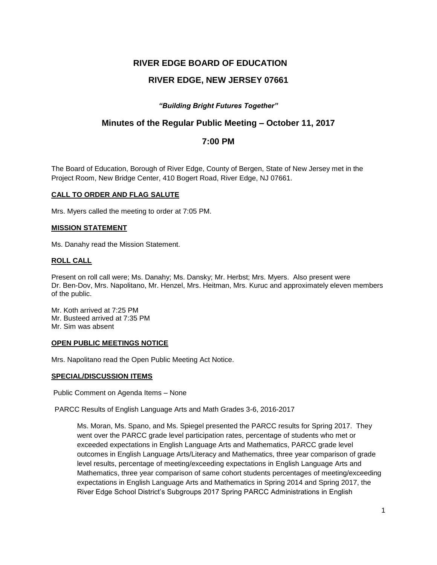# **RIVER EDGE BOARD OF EDUCATION**

# **RIVER EDGE, NEW JERSEY 07661**

## *"Building Bright Futures Together"*

## **Minutes of the Regular Public Meeting – October 11, 2017**

## **7:00 PM**

The Board of Education, Borough of River Edge, County of Bergen, State of New Jersey met in the Project Room, New Bridge Center, 410 Bogert Road, River Edge, NJ 07661.

#### **CALL TO ORDER AND FLAG SALUTE**

Mrs. Myers called the meeting to order at 7:05 PM.

#### **MISSION STATEMENT**

Ms. Danahy read the Mission Statement.

#### **ROLL CALL**

Present on roll call were; Ms. Danahy; Ms. Dansky; Mr. Herbst; Mrs. Myers. Also present were Dr. Ben-Dov, Mrs. Napolitano, Mr. Henzel, Mrs. Heitman, Mrs. Kuruc and approximately eleven members of the public.

Mr. Koth arrived at 7:25 PM Mr. Busteed arrived at 7:35 PM Mr. Sim was absent

#### **OPEN PUBLIC MEETINGS NOTICE**

Mrs. Napolitano read the Open Public Meeting Act Notice.

#### **SPECIAL/DISCUSSION ITEMS**

Public Comment on Agenda Items – None

PARCC Results of English Language Arts and Math Grades 3-6, 2016-2017

Ms. Moran, Ms. Spano, and Ms. Spiegel presented the PARCC results for Spring 2017. They went over the PARCC grade level participation rates, percentage of students who met or exceeded expectations in English Language Arts and Mathematics, PARCC grade level outcomes in English Language Arts/Literacy and Mathematics, three year comparison of grade level results, percentage of meeting/exceeding expectations in English Language Arts and Mathematics, three year comparison of same cohort students percentages of meeting/exceeding expectations in English Language Arts and Mathematics in Spring 2014 and Spring 2017, the River Edge School District's Subgroups 2017 Spring PARCC Administrations in English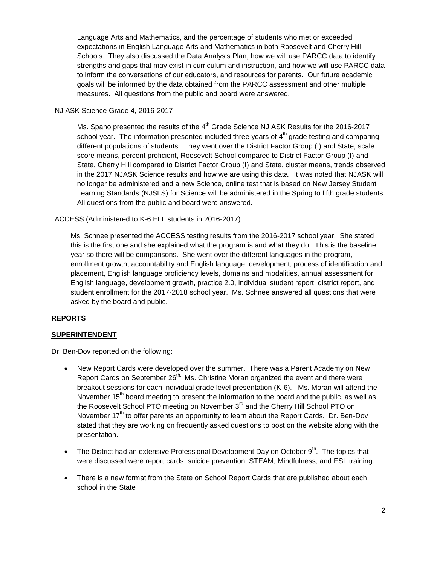Language Arts and Mathematics, and the percentage of students who met or exceeded expectations in English Language Arts and Mathematics in both Roosevelt and Cherry Hill Schools. They also discussed the Data Analysis Plan, how we will use PARCC data to identify strengths and gaps that may exist in curriculum and instruction, and how we will use PARCC data to inform the conversations of our educators, and resources for parents. Our future academic goals will be informed by the data obtained from the PARCC assessment and other multiple measures. All questions from the public and board were answered.

NJ ASK Science Grade 4, 2016-2017

Ms. Spano presented the results of the  $4<sup>th</sup>$  Grade Science NJ ASK Results for the 2016-2017 school year. The information presented included three years of  $4<sup>th</sup>$  grade testing and comparing different populations of students. They went over the District Factor Group (I) and State, scale score means, percent proficient, Roosevelt School compared to District Factor Group (I) and State, Cherry Hill compared to District Factor Group (I) and State, cluster means, trends observed in the 2017 NJASK Science results and how we are using this data. It was noted that NJASK will no longer be administered and a new Science, online test that is based on New Jersey Student Learning Standards (NJSLS) for Science will be administered in the Spring to fifth grade students. All questions from the public and board were answered.

## ACCESS (Administered to K-6 ELL students in 2016-2017)

Ms. Schnee presented the ACCESS testing results from the 2016-2017 school year. She stated this is the first one and she explained what the program is and what they do. This is the baseline year so there will be comparisons. She went over the different languages in the program, enrollment growth, accountability and English language, development, process of identification and placement, English language proficiency levels, domains and modalities, annual assessment for English language, development growth, practice 2.0, individual student report, district report, and student enrollment for the 2017-2018 school year. Ms. Schnee answered all questions that were asked by the board and public.

## **REPORTS**

#### **SUPERINTENDENT**

Dr. Ben-Dov reported on the following:

- New Report Cards were developed over the summer. There was a Parent Academy on New Report Cards on September  $26<sup>th</sup>$  Ms. Christine Moran organized the event and there were breakout sessions for each individual grade level presentation (K-6). Ms. Moran will attend the November  $15<sup>th</sup>$  board meeting to present the information to the board and the public, as well as the Roosevelt School PTO meeting on November 3<sup>rd</sup> and the Cherry Hill School PTO on November  $17<sup>th</sup>$  to offer parents an opportunity to learn about the Report Cards. Dr. Ben-Dov stated that they are working on frequently asked questions to post on the website along with the presentation.
- The District had an extensive Professional Development Day on October 9<sup>th</sup>. The topics that were discussed were report cards, suicide prevention, STEAM, Mindfulness, and ESL training.
- There is a new format from the State on School Report Cards that are published about each school in the State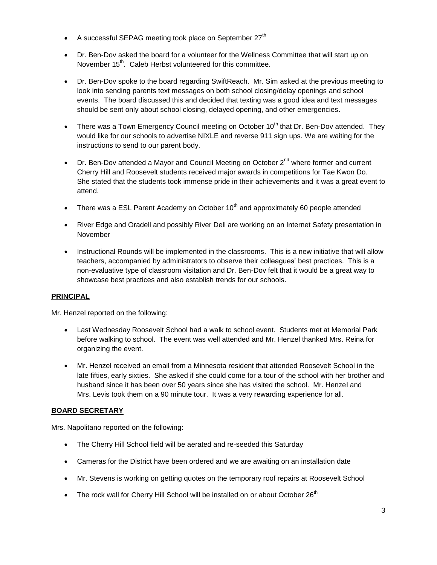- A successful SEPAG meeting took place on September  $27<sup>th</sup>$
- Dr. Ben-Dov asked the board for a volunteer for the Wellness Committee that will start up on November 15<sup>th</sup>. Caleb Herbst volunteered for this committee.
- Dr. Ben-Dov spoke to the board regarding SwiftReach. Mr. Sim asked at the previous meeting to look into sending parents text messages on both school closing/delay openings and school events. The board discussed this and decided that texting was a good idea and text messages should be sent only about school closing, delayed opening, and other emergencies.
- There was a Town Emergency Council meeting on October 10<sup>th</sup> that Dr. Ben-Dov attended. Thev would like for our schools to advertise NIXLE and reverse 911 sign ups. We are waiting for the instructions to send to our parent body.
- Dr. Ben-Dov attended a Mayor and Council Meeting on October  $2^{nd}$  where former and current Cherry Hill and Roosevelt students received major awards in competitions for Tae Kwon Do. She stated that the students took immense pride in their achievements and it was a great event to attend.
- There was a ESL Parent Academy on October  $10^{th}$  and approximately 60 people attended
- River Edge and Oradell and possibly River Dell are working on an Internet Safety presentation in November
- Instructional Rounds will be implemented in the classrooms. This is a new initiative that will allow teachers, accompanied by administrators to observe their colleagues' best practices. This is a non-evaluative type of classroom visitation and Dr. Ben-Dov felt that it would be a great way to showcase best practices and also establish trends for our schools.

## **PRINCIPAL**

Mr. Henzel reported on the following:

- Last Wednesday Roosevelt School had a walk to school event. Students met at Memorial Park before walking to school. The event was well attended and Mr. Henzel thanked Mrs. Reina for organizing the event.
- Mr. Henzel received an email from a Minnesota resident that attended Roosevelt School in the late fifties, early sixties. She asked if she could come for a tour of the school with her brother and husband since it has been over 50 years since she has visited the school. Mr. Henzel and Mrs. Levis took them on a 90 minute tour. It was a very rewarding experience for all.

## **BOARD SECRETARY**

Mrs. Napolitano reported on the following:

- The Cherry Hill School field will be aerated and re-seeded this Saturday
- Cameras for the District have been ordered and we are awaiting on an installation date
- Mr. Stevens is working on getting quotes on the temporary roof repairs at Roosevelt School
- The rock wall for Cherry Hill School will be installed on or about October  $26<sup>th</sup>$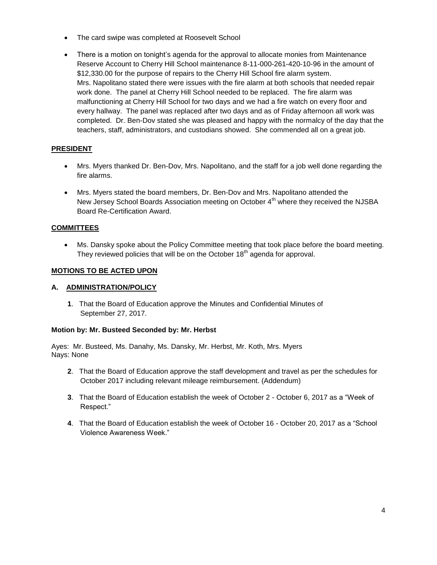- The card swipe was completed at Roosevelt School
- There is a motion on tonight's agenda for the approval to allocate monies from Maintenance Reserve Account to Cherry Hill School maintenance 8-11-000-261-420-10-96 in the amount of \$12,330.00 for the purpose of repairs to the Cherry Hill School fire alarm system. Mrs. Napolitano stated there were issues with the fire alarm at both schools that needed repair work done. The panel at Cherry Hill School needed to be replaced. The fire alarm was malfunctioning at Cherry Hill School for two days and we had a fire watch on every floor and every hallway. The panel was replaced after two days and as of Friday afternoon all work was completed. Dr. Ben-Dov stated she was pleased and happy with the normalcy of the day that the teachers, staff, administrators, and custodians showed. She commended all on a great job.

## **PRESIDENT**

- Mrs. Myers thanked Dr. Ben-Dov, Mrs. Napolitano, and the staff for a job well done regarding the fire alarms.
- Mrs. Myers stated the board members, Dr. Ben-Dov and Mrs. Napolitano attended the New Jersey School Boards Association meeting on October 4<sup>th</sup> where they received the NJSBA Board Re-Certification Award.

## **COMMITTEES**

 Ms. Dansky spoke about the Policy Committee meeting that took place before the board meeting. They reviewed policies that will be on the October 18<sup>th</sup> agenda for approval.

### **MOTIONS TO BE ACTED UPON**

#### **A. ADMINISTRATION/POLICY**

**1**. That the Board of Education approve the Minutes and Confidential Minutes of September 27, 2017.

#### **Motion by: Mr. Busteed Seconded by: Mr. Herbst**

Ayes: Mr. Busteed, Ms. Danahy, Ms. Dansky, Mr. Herbst, Mr. Koth, Mrs. Myers Nays: None

- **2**. That the Board of Education approve the staff development and travel as per the schedules for October 2017 including relevant mileage reimbursement. (Addendum)
- **3**. That the Board of Education establish the week of October 2 October 6, 2017 as a "Week of Respect."
- **4**. That the Board of Education establish the week of October 16 October 20, 2017 as a "School Violence Awareness Week."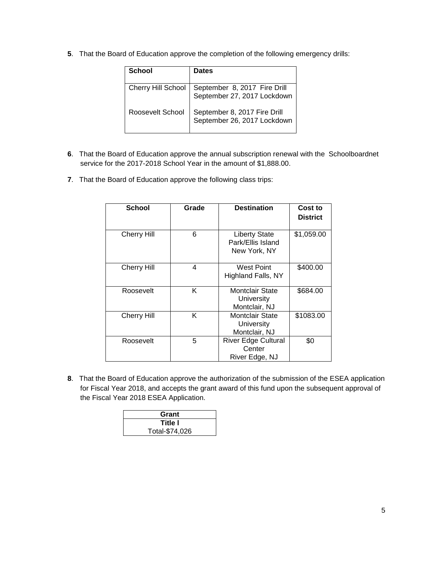**5**. That the Board of Education approve the completion of the following emergency drills:

| School             | <b>Dates</b>                                                |
|--------------------|-------------------------------------------------------------|
| Cherry Hill School | September 8, 2017 Fire Drill<br>September 27, 2017 Lockdown |
| Roosevelt School   | September 8, 2017 Fire Drill<br>September 26, 2017 Lockdown |

- **6**. That the Board of Education approve the annual subscription renewal with the Schoolboardnet service for the 2017-2018 School Year in the amount of \$1,888.00.
- **7**. That the Board of Education approve the following class trips:

| <b>School</b>      | Grade | <b>Destination</b>                                        | Cost to<br><b>District</b> |
|--------------------|-------|-----------------------------------------------------------|----------------------------|
| <b>Cherry Hill</b> | 6     | <b>Liberty State</b><br>Park/Ellis Island<br>New York, NY | \$1,059.00                 |
| <b>Cherry Hill</b> | 4     | <b>West Point</b><br>Highland Falls, NY                   | \$400.00                   |
| Roosevelt          | Κ     | Montclair State<br>University<br>Montclair, NJ            | \$684.00                   |
| <b>Cherry Hill</b> | Κ     | Montclair State<br><b>University</b><br>Montclair, NJ     | \$1083.00                  |
| Roosevelt          | 5     | <b>River Edge Cultural</b><br>Center<br>River Edge, NJ    | \$0                        |

**8**. That the Board of Education approve the authorization of the submission of the ESEA application for Fiscal Year 2018, and accepts the grant award of this fund upon the subsequent approval of the Fiscal Year 2018 ESEA Application.

| Grant          |  |
|----------------|--|
| Title I        |  |
| Total-\$74,026 |  |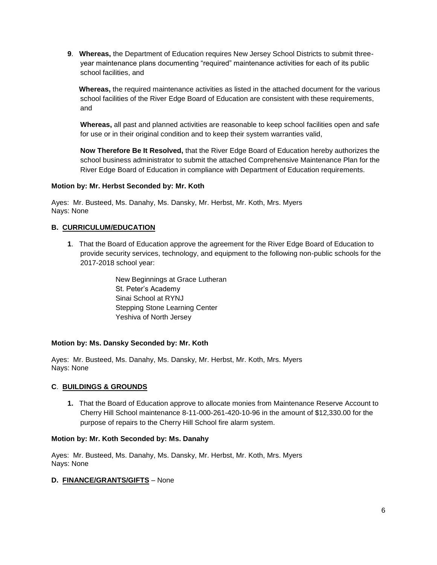**9**. **Whereas,** the Department of Education requires New Jersey School Districts to submit threeyear maintenance plans documenting "required" maintenance activities for each of its public school facilities, and

**Whereas,** the required maintenance activities as listed in the attached document for the various school facilities of the River Edge Board of Education are consistent with these requirements, and

**Whereas,** all past and planned activities are reasonable to keep school facilities open and safe for use or in their original condition and to keep their system warranties valid,

**Now Therefore Be It Resolved,** that the River Edge Board of Education hereby authorizes the school business administrator to submit the attached Comprehensive Maintenance Plan for the River Edge Board of Education in compliance with Department of Education requirements.

### **Motion by: Mr. Herbst Seconded by: Mr. Koth**

Ayes: Mr. Busteed, Ms. Danahy, Ms. Dansky, Mr. Herbst, Mr. Koth, Mrs. Myers Nays: None

## **B. CURRICULUM/EDUCATION**

**1**. That the Board of Education approve the agreement for the River Edge Board of Education to provide security services, technology, and equipment to the following non-public schools for the 2017-2018 school year:

> New Beginnings at Grace Lutheran St. Peter's Academy Sinai School at RYNJ Stepping Stone Learning Center Yeshiva of North Jersey

## **Motion by: Ms. Dansky Seconded by: Mr. Koth**

Ayes: Mr. Busteed, Ms. Danahy, Ms. Dansky, Mr. Herbst, Mr. Koth, Mrs. Myers Nays: None

## **C**. **BUILDINGS & GROUNDS**

**1.** That the Board of Education approve to allocate monies from Maintenance Reserve Account to Cherry Hill School maintenance 8-11-000-261-420-10-96 in the amount of \$12,330.00 for the purpose of repairs to the Cherry Hill School fire alarm system.

#### **Motion by: Mr. Koth Seconded by: Ms. Danahy**

Ayes: Mr. Busteed, Ms. Danahy, Ms. Dansky, Mr. Herbst, Mr. Koth, Mrs. Myers Nays: None

#### **D. FINANCE/GRANTS/GIFTS** – None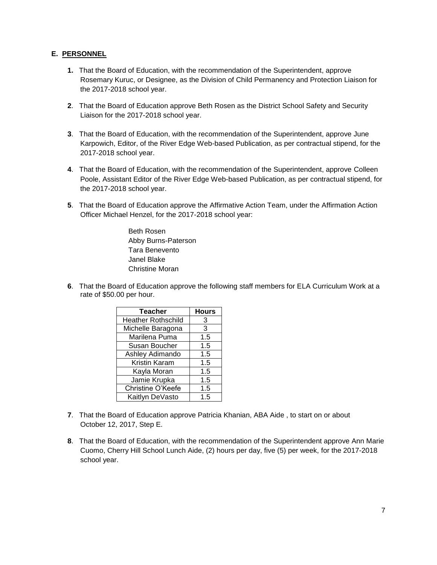## **E. PERSONNEL**

- **1.** That the Board of Education, with the recommendation of the Superintendent, approve Rosemary Kuruc, or Designee, as the Division of Child Permanency and Protection Liaison for the 2017-2018 school year.
- **2**. That the Board of Education approve Beth Rosen as the District School Safety and Security Liaison for the 2017-2018 school year.
- **3**. That the Board of Education, with the recommendation of the Superintendent, approve June Karpowich, Editor, of the River Edge Web-based Publication, as per contractual stipend, for the 2017-2018 school year.
- **4**. That the Board of Education, with the recommendation of the Superintendent, approve Colleen Poole, Assistant Editor of the River Edge Web-based Publication, as per contractual stipend, for the 2017-2018 school year.
- **5**. That the Board of Education approve the Affirmative Action Team, under the Affirmation Action Officer Michael Henzel, for the 2017-2018 school year:

Beth Rosen Abby Burns-Paterson Tara Benevento Janel Blake Christine Moran

**6**. That the Board of Education approve the following staff members for ELA Curriculum Work at a rate of \$50.00 per hour.

| <b>Teacher</b>            | <b>Hours</b> |
|---------------------------|--------------|
| <b>Heather Rothschild</b> | 3            |
| Michelle Baragona         | 3            |
| Marilena Puma             | 1.5          |
| Susan Boucher             | 1.5          |
| Ashley Adimando           | 1.5          |
| Kristin Karam             | 1.5          |
| Kayla Moran               | 1.5          |
| Jamie Krupka              | 1.5          |
| Christine O'Keefe         | 1.5          |
| Kaitlyn DeVasto           | 1.5          |

- **7**. That the Board of Education approve Patricia Khanian, ABA Aide , to start on or about October 12, 2017, Step E.
- **8**. That the Board of Education, with the recommendation of the Superintendent approve Ann Marie Cuomo, Cherry Hill School Lunch Aide, (2) hours per day, five (5) per week, for the 2017-2018 school year.